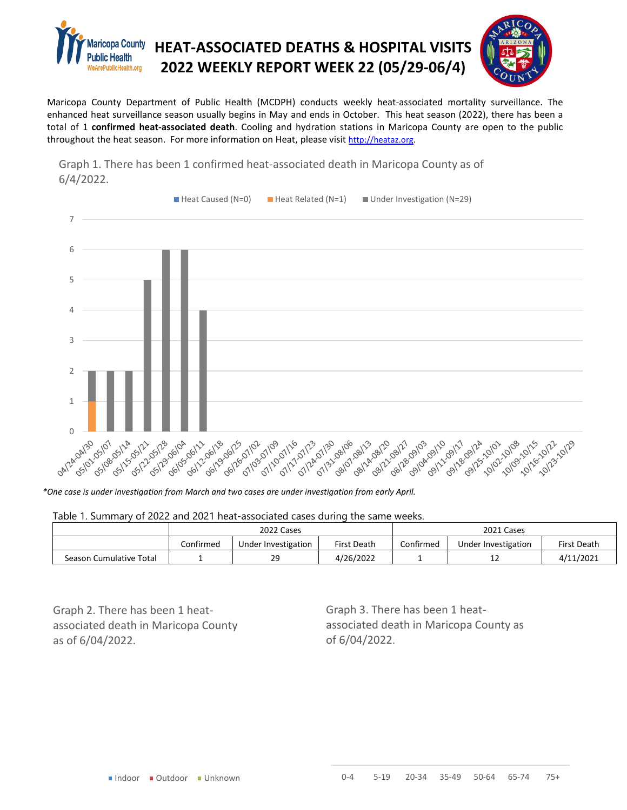



Maricopa County Department of Public Health (MCDPH) conducts weekly heat-associated mortality surveillance. The enhanced heat surveillance season usually begins in May and ends in October. This heat season (2022), there has been a total of 1 **confirmed heat-associated death**. Cooling and hydration stations in Maricopa County are open to the public throughout the heat season. For more information on Heat, please visit [http://heataz.org.](http://heataz.org/)



Graph 1. There has been 1 confirmed heat-associated death in Maricopa County as of 6/4/2022.

*\*One case is under investigation from March and two cases are under investigation from early April.*

## Table 1. Summary of 2022 and 2021 heat-associated cases during the same weeks.

|                         | 2022 Cases |                     |                    | 2021 Cases |                     |             |
|-------------------------|------------|---------------------|--------------------|------------|---------------------|-------------|
|                         | Confirmed  | Under Investigation | <b>First Death</b> | Confirmed  | Under Investigation | First Death |
| Season Cumulative Total |            | 29                  | 4/26/2022          |            | --                  | 4/11/2021   |

Graph 2. There has been 1 heatassociated death in Maricopa County as of 6/04/2022.

Graph 3. There has been 1 heatassociated death in Maricopa County as of 6/04/2022.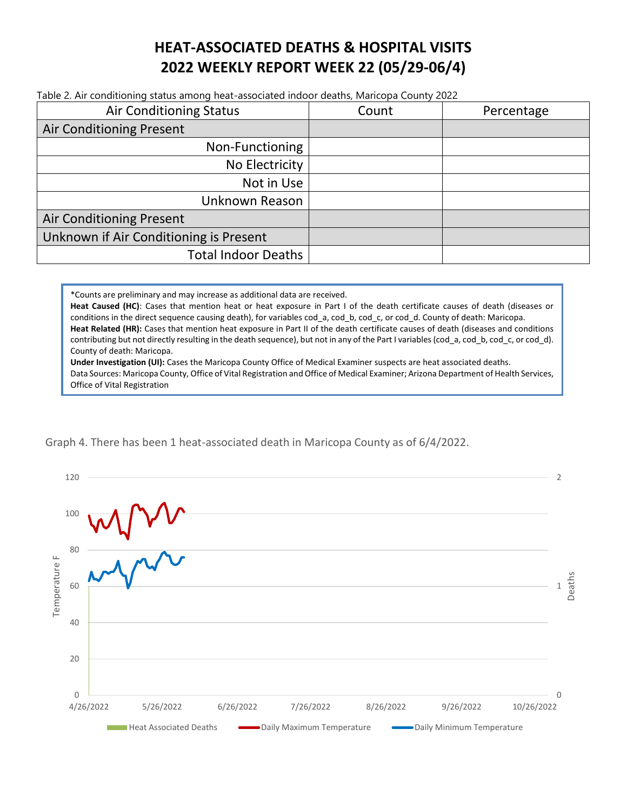## **HEAT-ASSOCIATED DEATHS & HOSPITAL VISITS 2022 WEEKLY REPORT WEEK 22 (05/29-06/4)**

Table 2. Air conditioning status among heat-associated indoor deaths, Maricopa County 2022

| <b>Air Conditioning Status</b>         | Count | Percentage |
|----------------------------------------|-------|------------|
| <b>Air Conditioning Present</b>        |       |            |
| Non-Functioning                        |       |            |
| No Electricity                         |       |            |
| Not in Use                             |       |            |
| Unknown Reason                         |       |            |
| <b>Air Conditioning Present</b>        |       |            |
| Unknown if Air Conditioning is Present |       |            |
| <b>Total Indoor Deaths</b>             |       |            |

\*Counts are preliminary and may increase as additional data are received.

**Heat Caused (HC)**: Cases that mention heat or heat exposure in Part I of the death certificate causes of death (diseases or conditions in the direct sequence causing death), for variables cod\_a, cod\_b, cod\_c, or cod\_d. County of death: Maricopa. **Heat Related (HR):** Cases that mention heat exposure in Part II of the death certificate causes of death (diseases and conditions contributing but not directly resulting in the death sequence), but not in any of the Part I variables (cod a, cod b, cod c, or cod d). County of death: Maricopa.

**Under Investigation (UI):** Cases the Maricopa County Office of Medical Examiner suspects are heat associated deaths. Data Sources: Maricopa County, Office of Vital Registration and Office of Medical Examiner; Arizona Department of Health Services, Office of Vital Registration

Graph 4. There has been 1 heat-associated death in Maricopa County as of 6/4/2022.